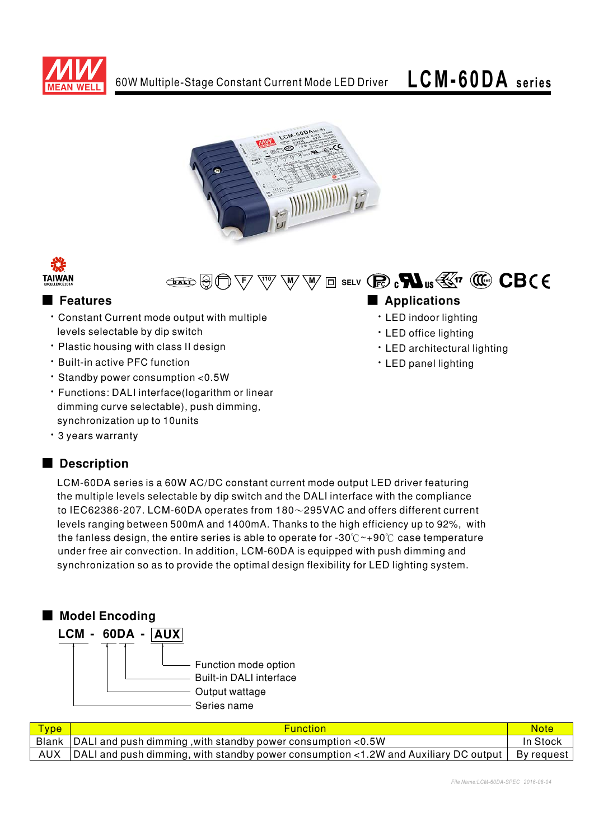







### Features

- \* Constant Current mode output with multiple levels selectable by dip switch
- · Plastic housing with class II design
- . Built-in active PFC function
- · Standby power consumption < 0.5W
- · Functions: DALI interface(logarithm or linear dimming curve selectable), push dimming, synchronization up to 10units
- · 3 years warranty

### Description

### Applications

- · LED indoor lighting
- · LED office lighting
- · LED architectural lighting
- · LED panel lighting

LCM-60DA series is a 60W AC/DC constant current mode output LED driver featuring the multiple levels selectable by dip switch and the DALI interface with the compliance to IEC62386-207. LCM-60DA operates from  $180 \sim 295$ VAC and offers different current levels ranging between 500mA and 1400mA. Thanks to the high efficiency up to 92%, with the fanless design, the entire series is able to operate for -30 $\degree$  ~+90 $\degree$ C case temperature under free air convection. In addition, LCM-60DA is equipped with push dimming and synchronization so as to provide the optimal design flexibility for LED lighting system.



| <b>Type</b> | <b>Function</b>                                                                                     | Note.      |
|-------------|-----------------------------------------------------------------------------------------------------|------------|
|             | Blank $\vert$ DALI and push dimming, with standby power consumption <0.5W                           | In Stock   |
| AUX         | $\vert$ DALI and push dimming, with standby power consumption <1.2W and Auxiliary DC output $\vert$ | By request |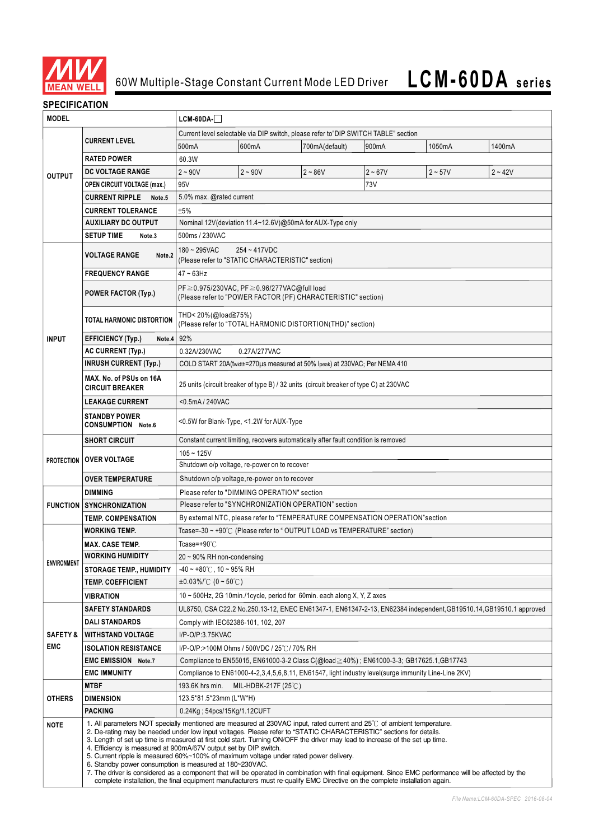

#### **SPECIFICATION**

| <b>MODEL</b>        |                                                                                                                                                                                                                                                                                                                                                                                                                                                                                                                                                                                                                                                                                                                                                                                                                                                                                           | $LCM-60DA-$                                                                                                       |                                                                      |                                                                            |           |           |           |  |  |
|---------------------|-------------------------------------------------------------------------------------------------------------------------------------------------------------------------------------------------------------------------------------------------------------------------------------------------------------------------------------------------------------------------------------------------------------------------------------------------------------------------------------------------------------------------------------------------------------------------------------------------------------------------------------------------------------------------------------------------------------------------------------------------------------------------------------------------------------------------------------------------------------------------------------------|-------------------------------------------------------------------------------------------------------------------|----------------------------------------------------------------------|----------------------------------------------------------------------------|-----------|-----------|-----------|--|--|
|                     |                                                                                                                                                                                                                                                                                                                                                                                                                                                                                                                                                                                                                                                                                                                                                                                                                                                                                           | Current level selectable via DIP switch, please refer to"DIP SWITCH TABLE" section                                |                                                                      |                                                                            |           |           |           |  |  |
| <b>OUTPUT</b>       | <b>CURRENT LEVEL</b>                                                                                                                                                                                                                                                                                                                                                                                                                                                                                                                                                                                                                                                                                                                                                                                                                                                                      | 500mA                                                                                                             | 600mA                                                                | 700mA(default)                                                             | 900mA     | 1050mA    | 1400mA    |  |  |
|                     | <b>RATED POWER</b>                                                                                                                                                                                                                                                                                                                                                                                                                                                                                                                                                                                                                                                                                                                                                                                                                                                                        | 60.3W                                                                                                             |                                                                      |                                                                            |           |           |           |  |  |
|                     | <b>DC VOLTAGE RANGE</b>                                                                                                                                                                                                                                                                                                                                                                                                                                                                                                                                                                                                                                                                                                                                                                                                                                                                   | $2 - 90V$                                                                                                         | $2 - 90V$                                                            | $2 - 86V$                                                                  | $2 - 67V$ | $2 - 57V$ | $2 - 42V$ |  |  |
|                     | <b>OPEN CIRCUIT VOLTAGE (max.)</b>                                                                                                                                                                                                                                                                                                                                                                                                                                                                                                                                                                                                                                                                                                                                                                                                                                                        | 95V                                                                                                               |                                                                      |                                                                            | 73V       |           |           |  |  |
|                     | <b>CURRENT RIPPLE</b><br>Note.5                                                                                                                                                                                                                                                                                                                                                                                                                                                                                                                                                                                                                                                                                                                                                                                                                                                           | 5.0% max. @rated current                                                                                          |                                                                      |                                                                            |           |           |           |  |  |
|                     | <b>CURRENT TOLERANCE</b>                                                                                                                                                                                                                                                                                                                                                                                                                                                                                                                                                                                                                                                                                                                                                                                                                                                                  | ±5%                                                                                                               |                                                                      |                                                                            |           |           |           |  |  |
|                     | <b>AUXILIARY DC OUTPUT</b>                                                                                                                                                                                                                                                                                                                                                                                                                                                                                                                                                                                                                                                                                                                                                                                                                                                                | Nominal 12V(deviation 11.4~12.6V)@50mA for AUX-Type only                                                          |                                                                      |                                                                            |           |           |           |  |  |
|                     | <b>SETUP TIME</b><br>Note.3                                                                                                                                                                                                                                                                                                                                                                                                                                                                                                                                                                                                                                                                                                                                                                                                                                                               | 500ms / 230VAC                                                                                                    |                                                                      |                                                                            |           |           |           |  |  |
|                     | <b>VOLTAGE RANGE</b><br>Note.2                                                                                                                                                                                                                                                                                                                                                                                                                                                                                                                                                                                                                                                                                                                                                                                                                                                            | $180 - 295$ VAC                                                                                                   | $254 - 417$ VDC<br>(Please refer to "STATIC CHARACTERISTIC" section) |                                                                            |           |           |           |  |  |
|                     | <b>FREQUENCY RANGE</b>                                                                                                                                                                                                                                                                                                                                                                                                                                                                                                                                                                                                                                                                                                                                                                                                                                                                    | $47 - 63$ Hz                                                                                                      |                                                                      |                                                                            |           |           |           |  |  |
|                     | <b>POWER FACTOR (Typ.)</b>                                                                                                                                                                                                                                                                                                                                                                                                                                                                                                                                                                                                                                                                                                                                                                                                                                                                | PF≧0.975/230VAC, PF≧0.96/277VAC@full load<br>(Please refer to "POWER FACTOR (PF) CHARACTERISTIC" section)         |                                                                      |                                                                            |           |           |           |  |  |
|                     | TOTAL HARMONIC DISTORTION                                                                                                                                                                                                                                                                                                                                                                                                                                                                                                                                                                                                                                                                                                                                                                                                                                                                 | THD< 20%(@load≧75%)<br>(Please refer to "TOTAL HARMONIC DISTORTION(THD)" section)                                 |                                                                      |                                                                            |           |           |           |  |  |
| <b>INPUT</b>        | <b>EFFICIENCY (Typ.)</b><br>Note.4                                                                                                                                                                                                                                                                                                                                                                                                                                                                                                                                                                                                                                                                                                                                                                                                                                                        | 92%                                                                                                               |                                                                      |                                                                            |           |           |           |  |  |
|                     | <b>AC CURRENT (Typ.)</b>                                                                                                                                                                                                                                                                                                                                                                                                                                                                                                                                                                                                                                                                                                                                                                                                                                                                  | 0.32A/230VAC                                                                                                      | 0.27A/277VAC                                                         |                                                                            |           |           |           |  |  |
|                     | <b>INRUSH CURRENT (Typ.)</b>                                                                                                                                                                                                                                                                                                                                                                                                                                                                                                                                                                                                                                                                                                                                                                                                                                                              |                                                                                                                   |                                                                      | COLD START 20A(twidth=270µs measured at 50% Ipeak) at 230VAC; Per NEMA 410 |           |           |           |  |  |
|                     | MAX. No. of PSUs on 16A<br><b>CIRCUIT BREAKER</b>                                                                                                                                                                                                                                                                                                                                                                                                                                                                                                                                                                                                                                                                                                                                                                                                                                         | 25 units (circuit breaker of type B) / 32 units (circuit breaker of type C) at 230VAC                             |                                                                      |                                                                            |           |           |           |  |  |
|                     | <b>LEAKAGE CURRENT</b>                                                                                                                                                                                                                                                                                                                                                                                                                                                                                                                                                                                                                                                                                                                                                                                                                                                                    | <0.5mA / 240VAC                                                                                                   |                                                                      |                                                                            |           |           |           |  |  |
|                     | <b>STANDBY POWER</b><br><b>CONSUMPTION Note.6</b>                                                                                                                                                                                                                                                                                                                                                                                                                                                                                                                                                                                                                                                                                                                                                                                                                                         | <0.5W for Blank-Type, <1.2W for AUX-Type                                                                          |                                                                      |                                                                            |           |           |           |  |  |
|                     | <b>SHORT CIRCUIT</b>                                                                                                                                                                                                                                                                                                                                                                                                                                                                                                                                                                                                                                                                                                                                                                                                                                                                      | Constant current limiting, recovers automatically after fault condition is removed                                |                                                                      |                                                                            |           |           |           |  |  |
|                     |                                                                                                                                                                                                                                                                                                                                                                                                                                                                                                                                                                                                                                                                                                                                                                                                                                                                                           | $105 - 125V$                                                                                                      |                                                                      |                                                                            |           |           |           |  |  |
| <b>PROTECTION</b>   | <b>OVER VOLTAGE</b>                                                                                                                                                                                                                                                                                                                                                                                                                                                                                                                                                                                                                                                                                                                                                                                                                                                                       | Shutdown o/p voltage, re-power on to recover                                                                      |                                                                      |                                                                            |           |           |           |  |  |
|                     | <b>OVER TEMPERATURE</b>                                                                                                                                                                                                                                                                                                                                                                                                                                                                                                                                                                                                                                                                                                                                                                                                                                                                   | Shutdown o/p voltage, re-power on to recover                                                                      |                                                                      |                                                                            |           |           |           |  |  |
|                     | <b>DIMMING</b>                                                                                                                                                                                                                                                                                                                                                                                                                                                                                                                                                                                                                                                                                                                                                                                                                                                                            | Please refer to "DIMMING OPERATION" section                                                                       |                                                                      |                                                                            |           |           |           |  |  |
|                     | <b>FUNCTION SYNCHRONIZATION</b>                                                                                                                                                                                                                                                                                                                                                                                                                                                                                                                                                                                                                                                                                                                                                                                                                                                           | Please refer to "SYNCHRONIZATION OPERATION" section                                                               |                                                                      |                                                                            |           |           |           |  |  |
|                     | <b>TEMP. COMPENSATION</b>                                                                                                                                                                                                                                                                                                                                                                                                                                                                                                                                                                                                                                                                                                                                                                                                                                                                 | By external NTC, please refer to "TEMPERATURE COMPENSATION OPERATION" section                                     |                                                                      |                                                                            |           |           |           |  |  |
|                     | <b>WORKING TEMP.</b>                                                                                                                                                                                                                                                                                                                                                                                                                                                                                                                                                                                                                                                                                                                                                                                                                                                                      | Tcase=-30 ~ +90℃ (Please refer to "OUTPUT LOAD vs TEMPERATURE" section)                                           |                                                                      |                                                                            |           |           |           |  |  |
|                     | <b>MAX. CASE TEMP.</b>                                                                                                                                                                                                                                                                                                                                                                                                                                                                                                                                                                                                                                                                                                                                                                                                                                                                    | Tcase=+90 $°C$                                                                                                    |                                                                      |                                                                            |           |           |           |  |  |
| <b>ENVIRONMENT</b>  | <b>WORKING HUMIDITY</b>                                                                                                                                                                                                                                                                                                                                                                                                                                                                                                                                                                                                                                                                                                                                                                                                                                                                   | 20 ~ 90% RH non-condensing                                                                                        |                                                                      |                                                                            |           |           |           |  |  |
|                     | <b>STORAGE TEMP., HUMIDITY</b>                                                                                                                                                                                                                                                                                                                                                                                                                                                                                                                                                                                                                                                                                                                                                                                                                                                            | $-40 \sim +80^{\circ}$ C, 10 ~ 95% RH                                                                             |                                                                      |                                                                            |           |           |           |  |  |
|                     | <b>TEMP. COEFFICIENT</b>                                                                                                                                                                                                                                                                                                                                                                                                                                                                                                                                                                                                                                                                                                                                                                                                                                                                  | $\pm 0.03\%$ /°C (0 ~ 50°C)                                                                                       |                                                                      |                                                                            |           |           |           |  |  |
|                     | <b>VIBRATION</b>                                                                                                                                                                                                                                                                                                                                                                                                                                                                                                                                                                                                                                                                                                                                                                                                                                                                          | 10 $\sim$ 500Hz, 2G 10min./1cycle, period for 60min. each along X, Y, Z axes                                      |                                                                      |                                                                            |           |           |           |  |  |
|                     | <b>SAFETY STANDARDS</b>                                                                                                                                                                                                                                                                                                                                                                                                                                                                                                                                                                                                                                                                                                                                                                                                                                                                   | UL8750, CSA C22.2 No.250.13-12, ENEC EN61347-1, EN61347-2-13, EN62384 independent, GB19510.14, GB19510.1 approved |                                                                      |                                                                            |           |           |           |  |  |
|                     | <b>DALI STANDARDS</b>                                                                                                                                                                                                                                                                                                                                                                                                                                                                                                                                                                                                                                                                                                                                                                                                                                                                     | Comply with IEC62386-101, 102, 207                                                                                |                                                                      |                                                                            |           |           |           |  |  |
| <b>SAFETY &amp;</b> | <b>WITHSTAND VOLTAGE</b>                                                                                                                                                                                                                                                                                                                                                                                                                                                                                                                                                                                                                                                                                                                                                                                                                                                                  | I/P-O/P:3.75KVAC                                                                                                  |                                                                      |                                                                            |           |           |           |  |  |
| EMC                 | <b>ISOLATION RESISTANCE</b>                                                                                                                                                                                                                                                                                                                                                                                                                                                                                                                                                                                                                                                                                                                                                                                                                                                               | I/P-O/P:>100M Ohms / 500VDC / 25℃/ 70% RH                                                                         |                                                                      |                                                                            |           |           |           |  |  |
|                     | <b>EMC EMISSION Note.7</b>                                                                                                                                                                                                                                                                                                                                                                                                                                                                                                                                                                                                                                                                                                                                                                                                                                                                | Compliance to EN55015, EN61000-3-2 Class C(@load≥40%) ; EN61000-3-3; GB17625.1,GB17743                            |                                                                      |                                                                            |           |           |           |  |  |
|                     | <b>EMC IMMUNITY</b>                                                                                                                                                                                                                                                                                                                                                                                                                                                                                                                                                                                                                                                                                                                                                                                                                                                                       | Compliance to EN61000-4-2,3,4,5,6,8,11, EN61547, light industry level(surge immunity Line-Line 2KV)               |                                                                      |                                                                            |           |           |           |  |  |
| <b>OTHERS</b>       | <b>MTBF</b>                                                                                                                                                                                                                                                                                                                                                                                                                                                                                                                                                                                                                                                                                                                                                                                                                                                                               | 193.6K hrs min.<br>MIL-HDBK-217F (25℃)                                                                            |                                                                      |                                                                            |           |           |           |  |  |
|                     | <b>DIMENSION</b>                                                                                                                                                                                                                                                                                                                                                                                                                                                                                                                                                                                                                                                                                                                                                                                                                                                                          | 123.5*81.5*23mm (L*W*H)                                                                                           |                                                                      |                                                                            |           |           |           |  |  |
|                     | <b>PACKING</b>                                                                                                                                                                                                                                                                                                                                                                                                                                                                                                                                                                                                                                                                                                                                                                                                                                                                            | $0.24$ Kg; $54$ pcs/15Kg/1.12CUFT                                                                                 |                                                                      |                                                                            |           |           |           |  |  |
| <b>NOTE</b>         | 1. All parameters NOT specially mentioned are measured at 230VAC input, rated current and 25°C of ambient temperature.<br>2. De-rating may be needed under low input voltages. Please refer to "STATIC CHARACTERISTIC" sections for details.<br>3. Length of set up time is measured at first cold start. Turning ON/OFF the driver may lead to increase of the set up time.<br>4. Efficiency is measured at 900mA/67V output set by DIP switch.<br>5. Current ripple is measured 60%~100% of maximum voltage under rated power delivery.<br>6. Standby power consumption is measured at 180~230VAC.<br>7. The driver is considered as a component that will be operated in combination with final equipment. Since EMC performance will be affected by the<br>complete installation, the final equipment manufacturers must re-qualify EMC Directive on the complete installation again. |                                                                                                                   |                                                                      |                                                                            |           |           |           |  |  |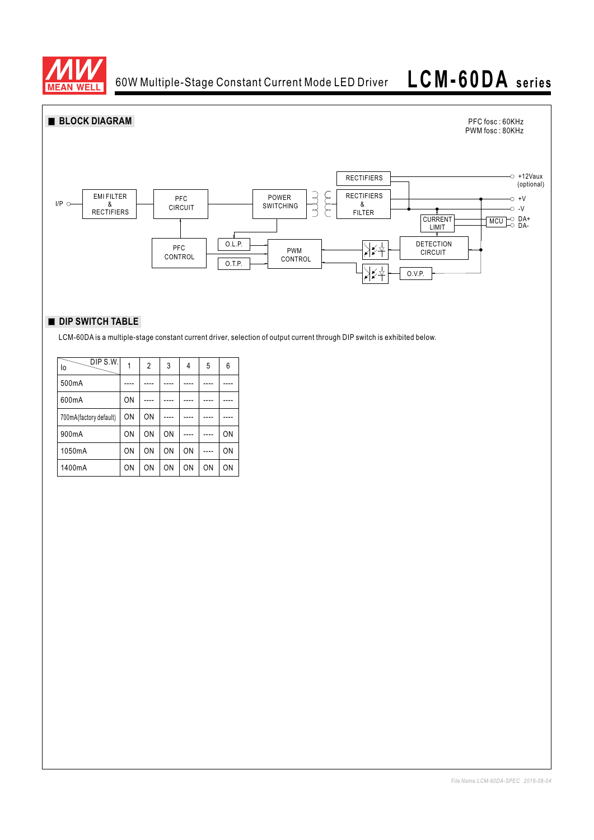

60W Multiple-Stage Constant Current Mode LED Driver

# **LCM-60DA series**



#### **DIP SWITCH TABLE**

LCM-60DA is a multiple-stage constant current driver, selection of output current through DIP switch is exhibited below.

| DIP S.W.<br>lo         |    | $\overline{2}$ | 3  | 4  | 5  | 6  |
|------------------------|----|----------------|----|----|----|----|
| 500mA                  |    |                |    |    |    |    |
| 600mA                  | ON |                |    |    |    |    |
| 700mA(factory default) | ON | ON             |    |    |    |    |
| 900mA                  | ON | ON             | ON |    |    | ON |
| 1050mA                 | ON | ON             | ON | ON |    | ON |
| 1400mA                 | ON | ON             | ON | ON | ON | ON |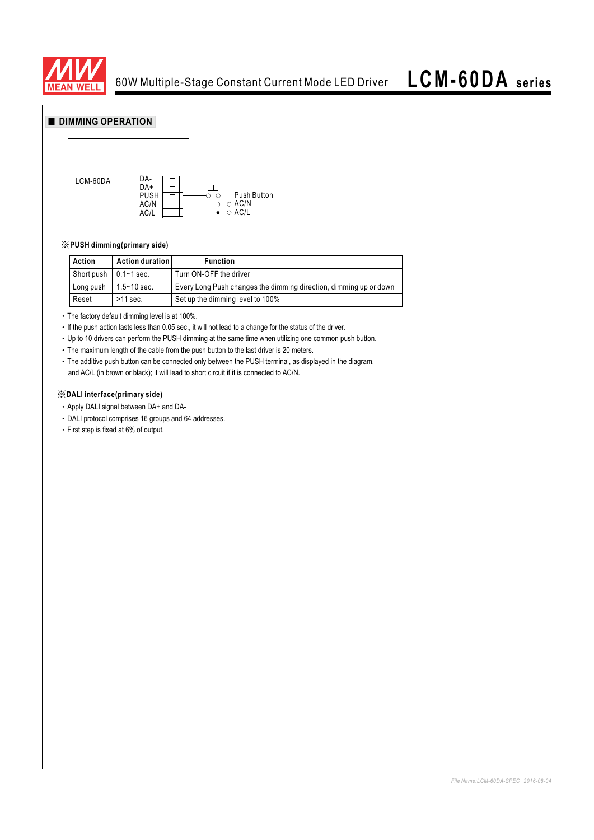

## **LCM-60DA series**

#### **DIMMING OPERATION**



#### ※**PUSH dimming(primary side)**

| Action                        | Action duration | <b>Function</b>                                                   |
|-------------------------------|-----------------|-------------------------------------------------------------------|
| Short push $\vert$ 0.1~1 sec. |                 | Turn ON-OFF the driver                                            |
| Long push                     | $1.5 - 10$ sec. | Every Long Push changes the dimming direction, dimming up or down |
| Reset                         | $>11$ sec.      | Set up the dimming level to 100%                                  |

The factory default dimming level is at 100%.

If the push action lasts less than 0.05 sec., it will not lead to a change for the status of the driver.

Up to 10 drivers can perform the PUSH dimming at the same time when utilizing one common push button.

• The maximum length of the cable from the push button to the last driver is 20 meters.

The additive push button can be connected only between the PUSH terminal, as displayed in the diagram, and AC/L (in brown or black); it will lead to short circuit if it is connected to AC/N.

#### ※**DALI interface(primary side)**

Apply DALI signal between DA+ and DA-

- DALI protocol comprises 16 groups and 64 addresses.
- First step is fixed at 6% of output.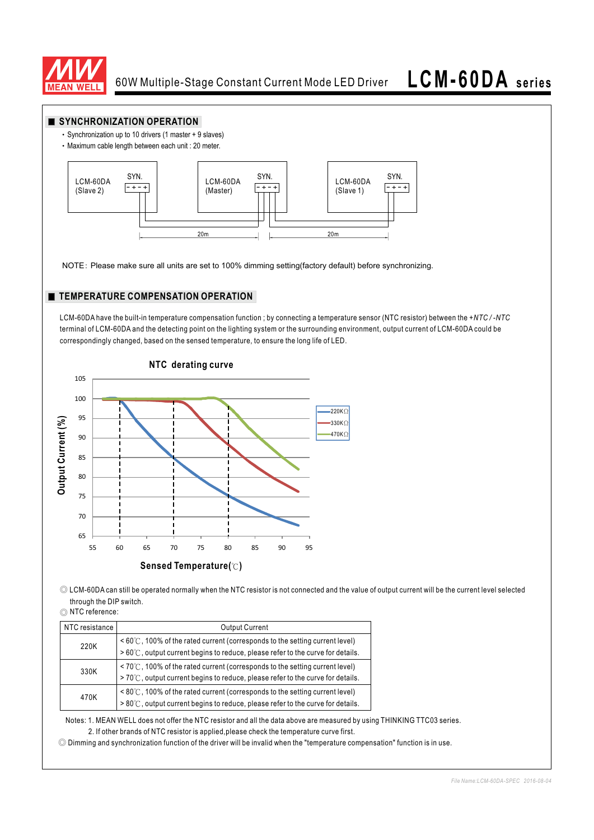



◎ Dimming and synchronization function of the driver will be invalid when the "temperature compensation" function is in use.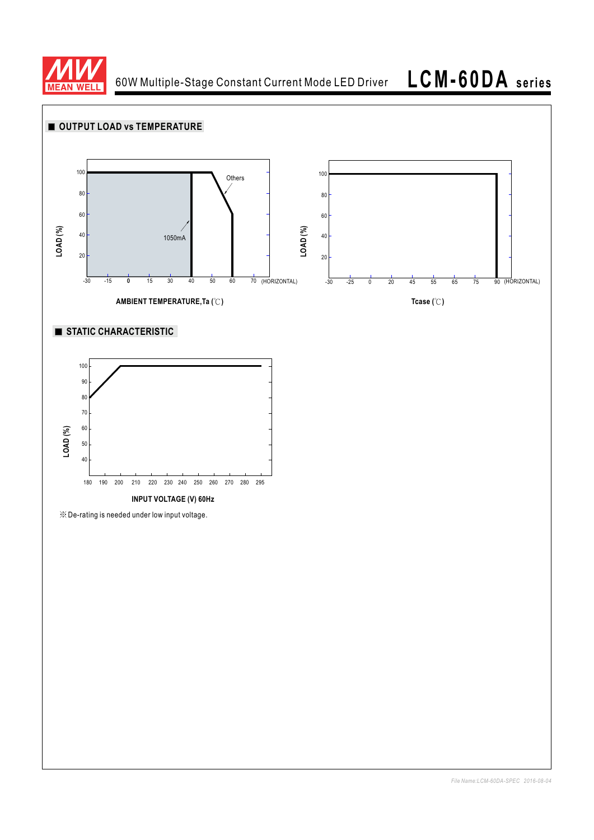

60W Multiple-Stage Constant Current Mode LED Driver

**LCM-60DA series**

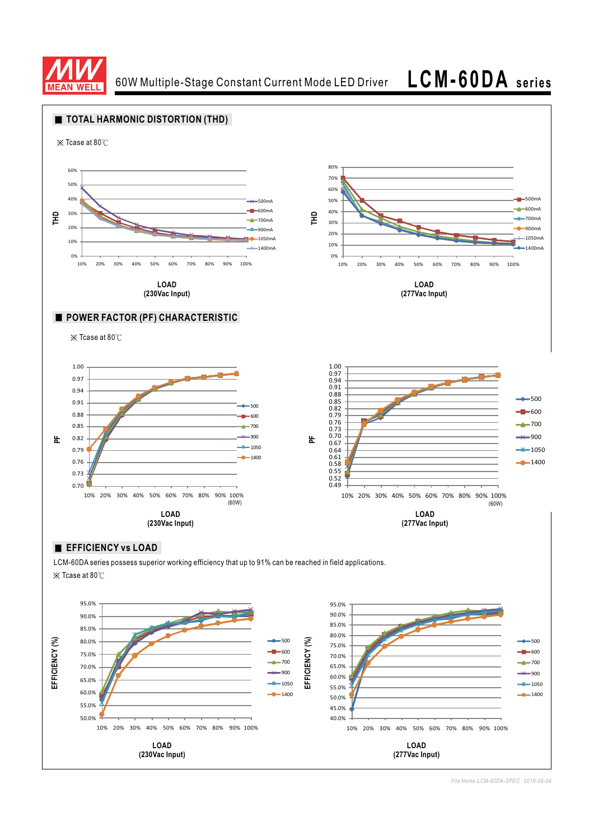

60W Multiple-Stage Constant Current Mode LED Driver **LCM-60DA series**



**LOAD (230Vac Input)**

*File Name:LCM-60DA-SPEC 2016-08-04*

**LOAD (277Vac Input)**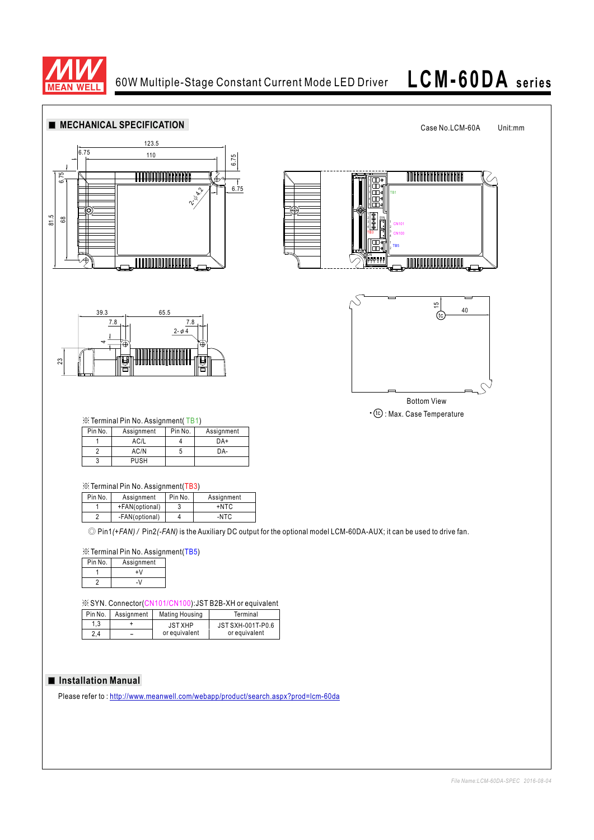

# **LCM-60DA series**



#### **Installation Manual**

Please refer to : http://www.meanwell.com/webapp/product/search.aspx?prod=lcm-60da